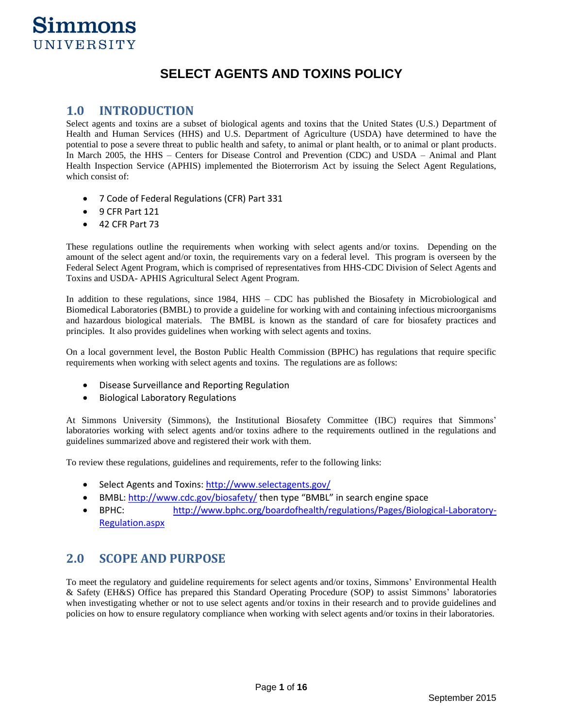## **SELECT AGENTS AND TOXINS POLICY**

## **1.0 INTRODUCTION**

Select agents and toxins are a subset of biological agents and toxins that the United States (U.S.) Department of Health and Human Services (HHS) and U.S. Department of Agriculture (USDA) have determined to have the potential to pose a severe threat to public health and safety, to animal or plant health, or to animal or plant products. In March 2005, the HHS – Centers for Disease Control and Prevention (CDC) and USDA – Animal and Plant Health Inspection Service (APHIS) implemented the Bioterrorism Act by issuing the Select Agent Regulations, which consist of:

- 7 Code of Federal Regulations (CFR) Part 331
- 9 CFR Part 121
- 42 CFR Part 73

These regulations outline the requirements when working with select agents and/or toxins. Depending on the amount of the select agent and/or toxin, the requirements vary on a federal level. This program is overseen by the Federal Select Agent Program, which is comprised of representatives from HHS-CDC Division of Select Agents and Toxins and USDA- APHIS Agricultural Select Agent Program.

In addition to these regulations, since 1984, HHS – CDC has published the Biosafety in Microbiological and Biomedical Laboratories (BMBL) to provide a guideline for working with and containing infectious microorganisms and hazardous biological materials. The BMBL is known as the standard of care for biosafety practices and principles. It also provides guidelines when working with select agents and toxins.

On a local government level, the Boston Public Health Commission (BPHC) has regulations that require specific requirements when working with select agents and toxins. The regulations are as follows:

- Disease Surveillance and Reporting Regulation
- Biological Laboratory Regulations

At Simmons University (Simmons), the Institutional Biosafety Committee (IBC) requires that Simmons' laboratories working with select agents and/or toxins adhere to the requirements outlined in the regulations and guidelines summarized above and registered their work with them.

To review these regulations, guidelines and requirements, refer to the following links:

- Select Agents and Toxins:<http://www.selectagents.gov/>
- BMBL[: http://www.cdc.gov/biosafety/](http://www.cdc.gov/biosafety/) then type "BMBL" in search engine space
- BPHC: [http://www.bphc.org/boardofhealth/regulations/Pages/Biological-Laboratory-](http://www.bphc.org/boardofhealth/regulations/Pages/Biological-Laboratory-Regulation.aspx)[Regulation.aspx](http://www.bphc.org/boardofhealth/regulations/Pages/Biological-Laboratory-Regulation.aspx)

## **2.0 SCOPE AND PURPOSE**

To meet the regulatory and guideline requirements for select agents and/or toxins, Simmons' Environmental Health & Safety (EH&S) Office has prepared this Standard Operating Procedure (SOP) to assist Simmons' laboratories when investigating whether or not to use select agents and/or toxins in their research and to provide guidelines and policies on how to ensure regulatory compliance when working with select agents and/or toxins in their laboratories.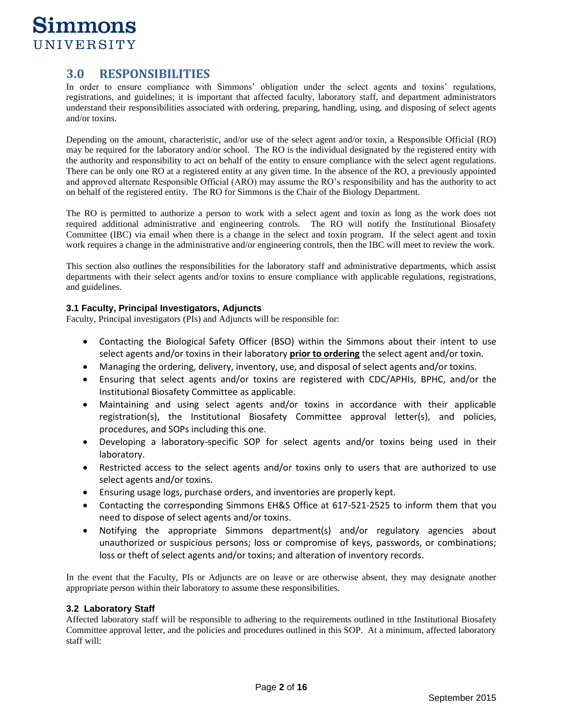## **3.0 RESPONSIBILITIES**

In order to ensure compliance with Simmons' obligation under the select agents and toxins' regulations, registrations, and guidelines; it is important that affected faculty, laboratory staff, and department administrators understand their responsibilities associated with ordering, preparing, handling, using, and disposing of select agents and/or toxins.

Depending on the amount, characteristic, and/or use of the select agent and/or toxin, a Responsible Official (RO) may be required for the laboratory and/or school. The RO is the individual designated by the registered entity with the authority and responsibility to act on behalf of the entity to ensure compliance with the select agent regulations. There can be only one RO at a registered entity at any given time. In the absence of the RO, a previously appointed and approved alternate Responsible Official (ARO) may assume the RO's responsibility and has the authority to act on behalf of the registered entity. The RO for Simmons is the Chair of the Biology Department.

The RO is permitted to authorize a person to work with a select agent and toxin as long as the work does not required additional administrative and engineering controls. The RO will notify the Institutional Biosafety Committee (IBC) via email when there is a change in the select and toxin program. If the select agent and toxin work requires a change in the administrative and/or engineering controls, then the IBC will meet to review the work.

This section also outlines the responsibilities for the laboratory staff and administrative departments, which assist departments with their select agents and/or toxins to ensure compliance with applicable regulations, registrations, and guidelines.

### **3.1 Faculty, Principal Investigators, Adjuncts**

Faculty, Principal investigators (PIs) and Adjuncts will be responsible for:

- Contacting the Biological Safety Officer (BSO) within the Simmons about their intent to use select agents and/or toxins in their laboratory **prior to ordering** the select agent and/or toxin.
- Managing the ordering, delivery, inventory, use, and disposal of select agents and/or toxins.
- Ensuring that select agents and/or toxins are registered with CDC/APHIs, BPHC, and/or the Institutional Biosafety Committee as applicable.
- Maintaining and using select agents and/or toxins in accordance with their applicable registration(s), the Institutional Biosafety Committee approval letter(s), and policies, procedures, and SOPs including this one.
- Developing a laboratory-specific SOP for select agents and/or toxins being used in their laboratory.
- Restricted access to the select agents and/or toxins only to users that are authorized to use select agents and/or toxins.
- Ensuring usage logs, purchase orders, and inventories are properly kept.
- Contacting the corresponding Simmons EH&S Office at 617-521-2525 to inform them that you need to dispose of select agents and/or toxins.
- Notifying the appropriate Simmons department(s) and/or regulatory agencies about unauthorized or suspicious persons; loss or compromise of keys, passwords, or combinations; loss or theft of select agents and/or toxins; and alteration of inventory records.

In the event that the Faculty, PIs or Adjuncts are on leave or are otherwise absent, they may designate another appropriate person within their laboratory to assume these responsibilities.

## **3.2 Laboratory Staff**

Affected laboratory staff will be responsible to adhering to the requirements outlined in tthe Institutional Biosafety Committee approval letter, and the policies and procedures outlined in this SOP. At a minimum, affected laboratory staff will: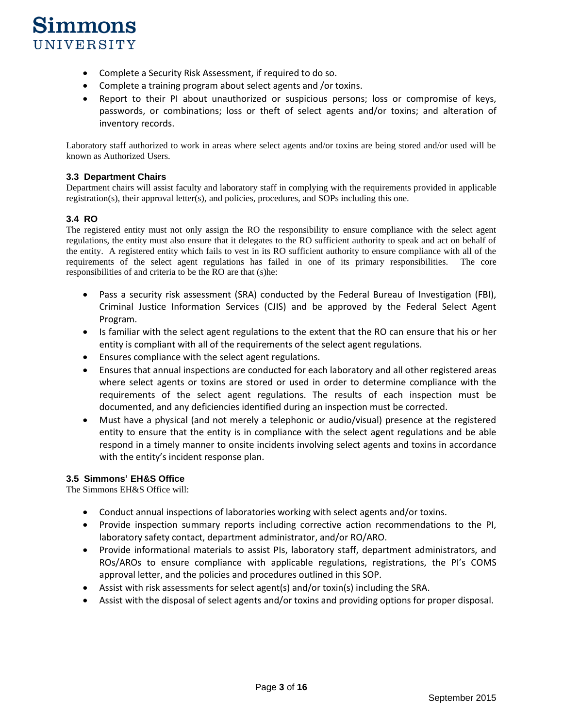

- Complete a Security Risk Assessment, if required to do so.
- Complete a training program about select agents and /or toxins.
- Report to their PI about unauthorized or suspicious persons; loss or compromise of keys, passwords, or combinations; loss or theft of select agents and/or toxins; and alteration of inventory records.

Laboratory staff authorized to work in areas where select agents and/or toxins are being stored and/or used will be known as Authorized Users.

### **3.3 Department Chairs**

Department chairs will assist faculty and laboratory staff in complying with the requirements provided in applicable registration(s), their approval letter(s), and policies, procedures, and SOPs including this one.

## **3.4 RO**

The registered entity must not only assign the RO the responsibility to ensure compliance with the select agent regulations, the entity must also ensure that it delegates to the RO sufficient authority to speak and act on behalf of the entity. A registered entity which fails to vest in its RO sufficient authority to ensure compliance with all of the requirements of the select agent regulations has failed in one of its primary responsibilities. The core responsibilities of and criteria to be the RO are that (s)he:

- Pass a security risk assessment (SRA) conducted by the Federal Bureau of Investigation (FBI), Criminal Justice Information Services (CJIS) and be approved by the Federal Select Agent Program.
- Is familiar with the select agent regulations to the extent that the RO can ensure that his or her entity is compliant with all of the requirements of the select agent regulations.
- Ensures compliance with the select agent regulations.
- Ensures that annual inspections are conducted for each laboratory and all other registered areas where select agents or toxins are stored or used in order to determine compliance with the requirements of the select agent regulations. The results of each inspection must be documented, and any deficiencies identified during an inspection must be corrected.
- Must have a physical (and not merely a telephonic or audio/visual) presence at the registered entity to ensure that the entity is in compliance with the select agent regulations and be able respond in a timely manner to onsite incidents involving select agents and toxins in accordance with the entity's incident response plan.

### **3.5 Simmons' EH&S Office**

The Simmons EH&S Office will:

- Conduct annual inspections of laboratories working with select agents and/or toxins.
- Provide inspection summary reports including corrective action recommendations to the PI, laboratory safety contact, department administrator, and/or RO/ARO.
- Provide informational materials to assist PIs, laboratory staff, department administrators, and ROs/AROs to ensure compliance with applicable regulations, registrations, the PI's COMS approval letter, and the policies and procedures outlined in this SOP.
- Assist with risk assessments for select agent(s) and/or toxin(s) including the SRA.
- Assist with the disposal of select agents and/or toxins and providing options for proper disposal.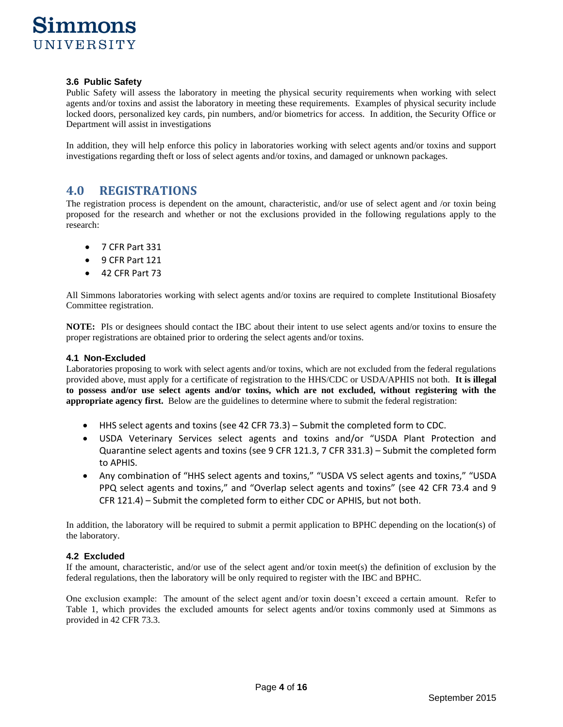

#### **3.6 Public Safety**

Public Safety will assess the laboratory in meeting the physical security requirements when working with select agents and/or toxins and assist the laboratory in meeting these requirements. Examples of physical security include locked doors, personalized key cards, pin numbers, and/or biometrics for access. In addition, the Security Office or Department will assist in investigations

In addition, they will help enforce this policy in laboratories working with select agents and/or toxins and support investigations regarding theft or loss of select agents and/or toxins, and damaged or unknown packages.

## **4.0 REGISTRATIONS**

The registration process is dependent on the amount, characteristic, and/or use of select agent and /or toxin being proposed for the research and whether or not the exclusions provided in the following regulations apply to the research:

- 7 CFR Part 331
- 9 CFR Part 121
- 42 CFR Part 73

All Simmons laboratories working with select agents and/or toxins are required to complete Institutional Biosafety Committee registration.

**NOTE:** PIs or designees should contact the IBC about their intent to use select agents and/or toxins to ensure the proper registrations are obtained prior to ordering the select agents and/or toxins.

### **4.1 Non-Excluded**

Laboratories proposing to work with select agents and/or toxins, which are not excluded from the federal regulations provided above, must apply for a certificate of registration to the HHS/CDC or USDA/APHIS not both. **It is illegal to possess and/or use select agents and/or toxins, which are not excluded, without registering with the appropriate agency first.** Below are the guidelines to determine where to submit the federal registration:

- HHS select agents and toxins (see 42 CFR 73.3) Submit the completed form to CDC.
- USDA Veterinary Services select agents and toxins and/or "USDA Plant Protection and Quarantine select agents and toxins (see 9 CFR 121.3, 7 CFR 331.3) – Submit the completed form to APHIS.
- Any combination of "HHS select agents and toxins," "USDA VS select agents and toxins," "USDA PPQ select agents and toxins," and "Overlap select agents and toxins" (see 42 CFR 73.4 and 9 CFR 121.4) – Submit the completed form to either CDC or APHIS, but not both.

In addition, the laboratory will be required to submit a permit application to BPHC depending on the location(s) of the laboratory.

### **4.2 Excluded**

If the amount, characteristic, and/or use of the select agent and/or toxin meet(s) the definition of exclusion by the federal regulations, then the laboratory will be only required to register with the IBC and BPHC.

One exclusion example: The amount of the select agent and/or toxin doesn't exceed a certain amount. Refer to Table 1, which provides the excluded amounts for select agents and/or toxins commonly used at Simmons as provided in 42 CFR 73.3.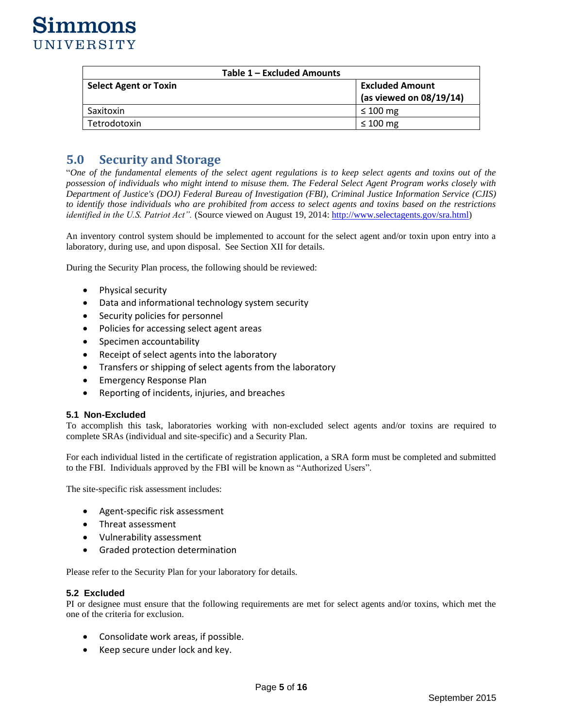| Table 1 - Excluded Amounts   |                                                      |  |  |  |
|------------------------------|------------------------------------------------------|--|--|--|
| <b>Select Agent or Toxin</b> | <b>Excluded Amount</b><br>(as viewed on $08/19/14$ ) |  |  |  |
| Saxitoxin                    | $\leq 100$ mg                                        |  |  |  |
| Tetrodotoxin                 | $\leq 100$ mg                                        |  |  |  |

## **5.0 Security and Storage**

"*One of the fundamental elements of the select agent regulations is to keep select agents and toxins out of the possession of individuals who might intend to misuse them. The Federal Select Agent Program works closely with Department of Justice's (DOJ) Federal Bureau of Investigation (FBI), Criminal Justice Information Service (CJIS) to identify those individuals who are prohibited from access to select agents and toxins based on the restrictions identified in the U.S. Patriot Act".* (Source viewed on August 19, 2014: [http://www.selectagents.gov/sra.html\)](http://www.selectagents.gov/sra.html)

An inventory control system should be implemented to account for the select agent and/or toxin upon entry into a laboratory, during use, and upon disposal. See Section XII for details.

During the Security Plan process, the following should be reviewed:

- Physical security
- Data and informational technology system security
- Security policies for personnel
- Policies for accessing select agent areas
- Specimen accountability
- Receipt of select agents into the laboratory
- Transfers or shipping of select agents from the laboratory
- Emergency Response Plan
- Reporting of incidents, injuries, and breaches

### **5.1 Non-Excluded**

To accomplish this task, laboratories working with non-excluded select agents and/or toxins are required to complete SRAs (individual and site-specific) and a Security Plan.

For each individual listed in the certificate of registration application, a SRA form must be completed and submitted to the FBI. Individuals approved by the FBI will be known as "Authorized Users".

The site-specific risk assessment includes:

- Agent-specific risk assessment
- Threat assessment
- Vulnerability assessment
- Graded protection determination

Please refer to the Security Plan for your laboratory for details.

#### **5.2 Excluded**

PI or designee must ensure that the following requirements are met for select agents and/or toxins, which met the one of the criteria for exclusion.

- Consolidate work areas, if possible.
- Keep secure under lock and key.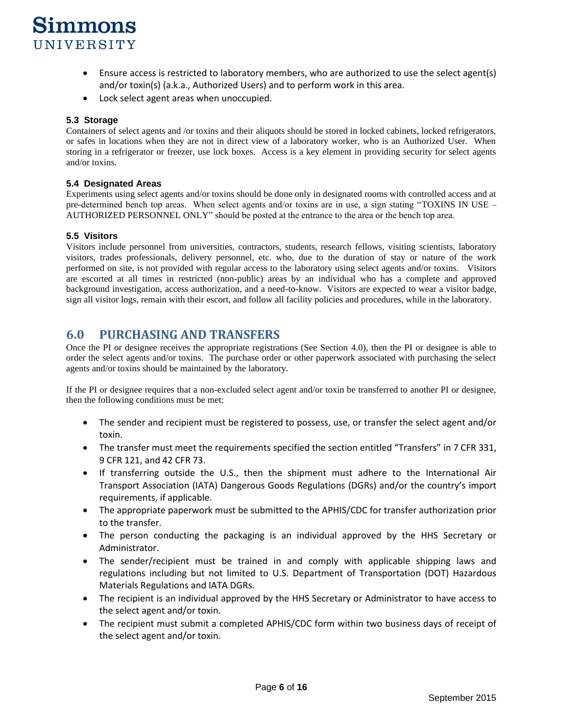- Ensure access is restricted to laboratory members, who are authorized to use the select agent(s) and/or toxin(s) (a.k.a., Authorized Users) and to perform work in this area.
- Lock select agent areas when unoccupied.

### **5.3 Storage**

Containers of select agents and /or toxins and their aliquots should be stored in locked cabinets, locked refrigerators, or safes in locations when they are not in direct view of a laboratory worker, who is an Authorized User. When storing in a refrigerator or freezer, use lock boxes. Access is a key element in providing security for select agents and/or toxins.

### **5.4 Designated Areas**

Experiments using select agents and/or toxins should be done only in designated rooms with controlled access and at pre-determined bench top areas. When select agents and/or toxins are in use, a sign stating "TOXINS IN USE – AUTHORIZED PERSONNEL ONLY" should be posted at the entrance to the area or the bench top area.

### **5.5 Visitors**

Visitors include personnel from universities, contractors, students, research fellows, visiting scientists, laboratory visitors, trades professionals, delivery personnel, etc. who, due to the duration of stay or nature of the work performed on site, is not provided with regular access to the laboratory using select agents and/or toxins. Visitors are escorted at all times in restricted (non-public) areas by an individual who has a complete and approved background investigation, access authorization, and a need-to-know. Visitors are expected to wear a visitor badge, sign all visitor logs, remain with their escort, and follow all facility policies and procedures, while in the laboratory.

## **6.0 PURCHASING AND TRANSFERS**

Once the PI or designee receives the appropriate registrations (See Section 4.0), then the PI or designee is able to order the select agents and/or toxins. The purchase order or other paperwork associated with purchasing the select agents and/or toxins should be maintained by the laboratory.

If the PI or designee requires that a non-excluded select agent and/or toxin be transferred to another PI or designee, then the following conditions must be met:

- The sender and recipient must be registered to possess, use, or transfer the select agent and/or toxin.
- The transfer must meet the requirements specified the section entitled "Transfers" in 7 CFR 331, 9 CFR 121, and 42 CFR 73.
- If transferring outside the U.S., then the shipment must adhere to the International Air Transport Association (IATA) Dangerous Goods Regulations (DGRs) and/or the country's import requirements, if applicable.
- The appropriate paperwork must be submitted to the APHIS/CDC for transfer authorization prior to the transfer.
- The person conducting the packaging is an individual approved by the HHS Secretary or Administrator.
- The sender/recipient must be trained in and comply with applicable shipping laws and regulations including but not limited to U.S. Department of Transportation (DOT) Hazardous Materials Regulations and IATA DGRs.
- The recipient is an individual approved by the HHS Secretary or Administrator to have access to the select agent and/or toxin.
- The recipient must submit a completed APHIS/CDC form within two business days of receipt of the select agent and/or toxin.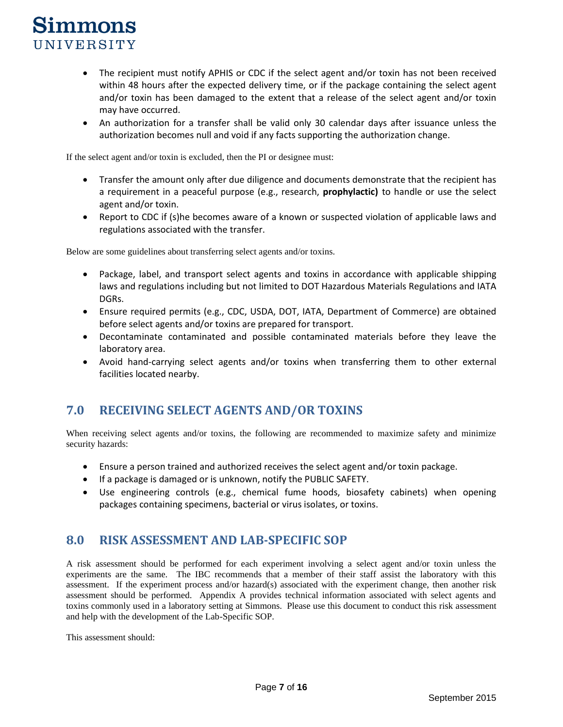- The recipient must notify APHIS or CDC if the select agent and/or toxin has not been received within 48 hours after the expected delivery time, or if the package containing the select agent and/or toxin has been damaged to the extent that a release of the select agent and/or toxin may have occurred.
- An authorization for a transfer shall be valid only 30 calendar days after issuance unless the authorization becomes null and void if any facts supporting the authorization change.

If the select agent and/or toxin is excluded, then the PI or designee must:

- Transfer the amount only after due diligence and documents demonstrate that the recipient has a requirement in a peaceful purpose (e.g., research, **prophylactic)** to handle or use the select agent and/or toxin.
- Report to CDC if (s)he becomes aware of a known or suspected violation of applicable laws and regulations associated with the transfer.

Below are some guidelines about transferring select agents and/or toxins.

- Package, label, and transport select agents and toxins in accordance with applicable shipping laws and regulations including but not limited to DOT Hazardous Materials Regulations and IATA DGRs.
- Ensure required permits (e.g., CDC, USDA, DOT, IATA, Department of Commerce) are obtained before select agents and/or toxins are prepared for transport.
- Decontaminate contaminated and possible contaminated materials before they leave the laboratory area.
- Avoid hand-carrying select agents and/or toxins when transferring them to other external facilities located nearby.

## **7.0 RECEIVING SELECT AGENTS AND/OR TOXINS**

When receiving select agents and/or toxins, the following are recommended to maximize safety and minimize security hazards:

- Ensure a person trained and authorized receives the select agent and/or toxin package.
- If a package is damaged or is unknown, notify the PUBLIC SAFETY.
- Use engineering controls (e.g., chemical fume hoods, biosafety cabinets) when opening packages containing specimens, bacterial or virus isolates, or toxins.

## **8.0 RISK ASSESSMENT AND LAB-SPECIFIC SOP**

A risk assessment should be performed for each experiment involving a select agent and/or toxin unless the experiments are the same. The IBC recommends that a member of their staff assist the laboratory with this assessment. If the experiment process and/or hazard(s) associated with the experiment change, then another risk assessment should be performed. Appendix A provides technical information associated with select agents and toxins commonly used in a laboratory setting at Simmons. Please use this document to conduct this risk assessment and help with the development of the Lab-Specific SOP.

This assessment should: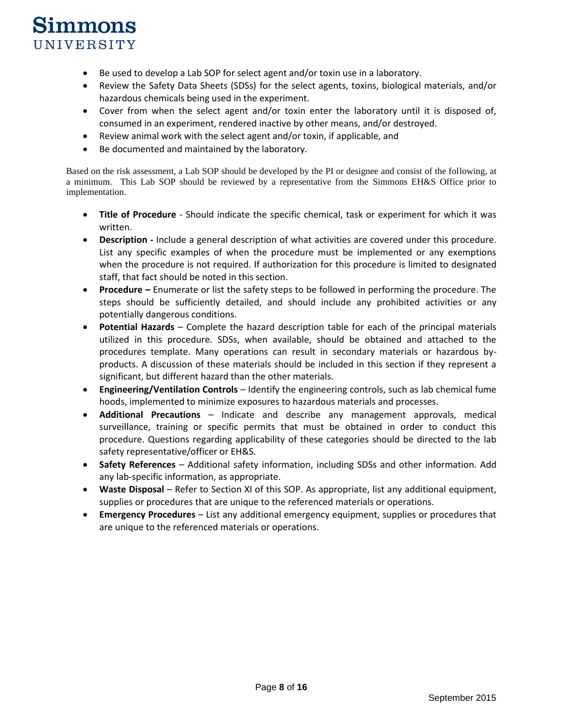- Be used to develop a Lab SOP for select agent and/or toxin use in a laboratory.
- Review the Safety Data Sheets (SDSs) for the select agents, toxins, biological materials, and/or hazardous chemicals being used in the experiment.
- Cover from when the select agent and/or toxin enter the laboratory until it is disposed of, consumed in an experiment, rendered inactive by other means, and/or destroyed.
- Review animal work with the select agent and/or toxin, if applicable, and
- Be documented and maintained by the laboratory.

Based on the risk assessment, a Lab SOP should be developed by the PI or designee and consist of the following, at a minimum. This Lab SOP should be reviewed by a representative from the Simmons EH&S Office prior to implementation.

- **Title of Procedure**  Should indicate the specific chemical, task or experiment for which it was written.
- **Description -** Include a general description of what activities are covered under this procedure. List any specific examples of when the procedure must be implemented or any exemptions when the procedure is not required. If authorization for this procedure is limited to designated staff, that fact should be noted in this section.
- **Procedure –** Enumerate or list the safety steps to be followed in performing the procedure. The steps should be sufficiently detailed, and should include any prohibited activities or any potentially dangerous conditions.
- **Potential Hazards**  Complete the hazard description table for each of the principal materials utilized in this procedure. SDSs, when available, should be obtained and attached to the procedures template. Many operations can result in secondary materials or hazardous byproducts. A discussion of these materials should be included in this section if they represent a significant, but different hazard than the other materials.
- **Engineering/Ventilation Controls**  Identify the engineering controls, such as lab chemical fume hoods, implemented to minimize exposures to hazardous materials and processes.
- **Additional Precautions** Indicate and describe any management approvals, medical surveillance, training or specific permits that must be obtained in order to conduct this procedure. Questions regarding applicability of these categories should be directed to the lab safety representative/officer or EH&S.
- **Safety References**  Additional safety information, including SDSs and other information. Add any lab-specific information, as appropriate.
- **Waste Disposal**  Refer to Section XI of this SOP. As appropriate, list any additional equipment, supplies or procedures that are unique to the referenced materials or operations.
- **Emergency Procedures**  List any additional emergency equipment, supplies or procedures that are unique to the referenced materials or operations.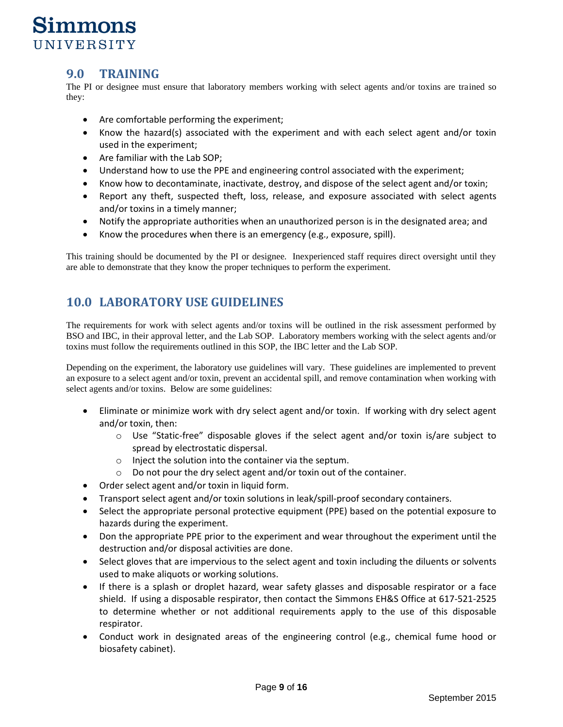## **9.0 TRAINING**

The PI or designee must ensure that laboratory members working with select agents and/or toxins are trained so they:

- Are comfortable performing the experiment;
- Know the hazard(s) associated with the experiment and with each select agent and/or toxin used in the experiment;
- Are familiar with the Lab SOP;
- Understand how to use the PPE and engineering control associated with the experiment;
- Know how to decontaminate, inactivate, destroy, and dispose of the select agent and/or toxin;
- Report any theft, suspected theft, loss, release, and exposure associated with select agents and/or toxins in a timely manner;
- Notify the appropriate authorities when an unauthorized person is in the designated area; and
- Know the procedures when there is an emergency (e.g., exposure, spill).

This training should be documented by the PI or designee. Inexperienced staff requires direct oversight until they are able to demonstrate that they know the proper techniques to perform the experiment.

## **10.0 LABORATORY USE GUIDELINES**

The requirements for work with select agents and/or toxins will be outlined in the risk assessment performed by BSO and IBC, in their approval letter, and the Lab SOP. Laboratory members working with the select agents and/or toxins must follow the requirements outlined in this SOP, the IBC letter and the Lab SOP.

Depending on the experiment, the laboratory use guidelines will vary. These guidelines are implemented to prevent an exposure to a select agent and/or toxin, prevent an accidental spill, and remove contamination when working with select agents and/or toxins. Below are some guidelines:

- Eliminate or minimize work with dry select agent and/or toxin. If working with dry select agent and/or toxin, then:
	- $\circ$  Use "Static-free" disposable gloves if the select agent and/or toxin is/are subject to spread by electrostatic dispersal.
	- o Inject the solution into the container via the septum.
	- o Do not pour the dry select agent and/or toxin out of the container.
- Order select agent and/or toxin in liquid form.
- Transport select agent and/or toxin solutions in leak/spill-proof secondary containers.
- Select the appropriate personal protective equipment (PPE) based on the potential exposure to hazards during the experiment.
- Don the appropriate PPE prior to the experiment and wear throughout the experiment until the destruction and/or disposal activities are done.
- Select gloves that are impervious to the select agent and toxin including the diluents or solvents used to make aliquots or working solutions.
- If there is a splash or droplet hazard, wear safety glasses and disposable respirator or a face shield. If using a disposable respirator, then contact the Simmons EH&S Office at 617-521-2525 to determine whether or not additional requirements apply to the use of this disposable respirator.
- Conduct work in designated areas of the engineering control (e.g., chemical fume hood or biosafety cabinet).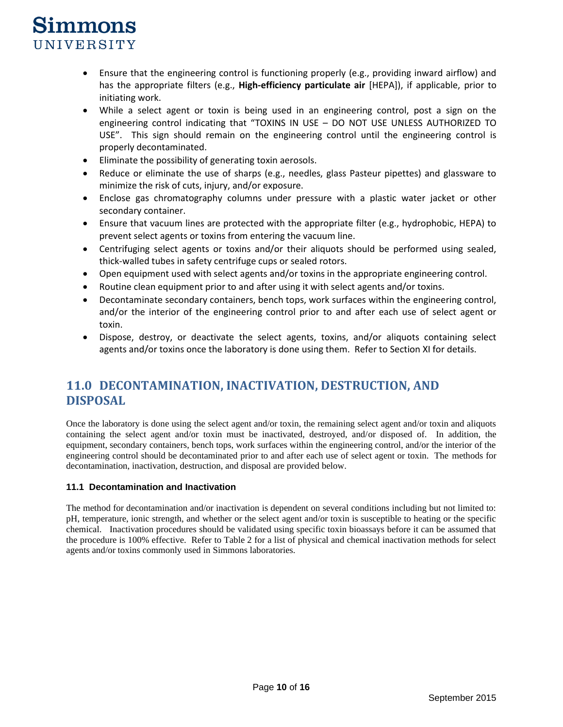- Ensure that the engineering control is functioning properly (e.g., providing inward airflow) and has the appropriate filters (e.g., **High-efficiency particulate air** [HEPA]), if applicable, prior to initiating work.
- While a select agent or toxin is being used in an engineering control, post a sign on the engineering control indicating that "TOXINS IN USE – DO NOT USE UNLESS AUTHORIZED TO USE". This sign should remain on the engineering control until the engineering control is properly decontaminated.
- Eliminate the possibility of generating toxin aerosols.
- Reduce or eliminate the use of sharps (e.g., needles, glass Pasteur pipettes) and glassware to minimize the risk of cuts, injury, and/or exposure.
- Enclose gas chromatography columns under pressure with a plastic water jacket or other secondary container.
- Ensure that vacuum lines are protected with the appropriate filter (e.g., hydrophobic, HEPA) to prevent select agents or toxins from entering the vacuum line.
- Centrifuging select agents or toxins and/or their aliquots should be performed using sealed, thick-walled tubes in safety centrifuge cups or sealed rotors.
- Open equipment used with select agents and/or toxins in the appropriate engineering control.
- Routine clean equipment prior to and after using it with select agents and/or toxins.
- Decontaminate secondary containers, bench tops, work surfaces within the engineering control, and/or the interior of the engineering control prior to and after each use of select agent or toxin.
- Dispose, destroy, or deactivate the select agents, toxins, and/or aliquots containing select agents and/or toxins once the laboratory is done using them. Refer to Section XI for details.

## **11.0 DECONTAMINATION, INACTIVATION, DESTRUCTION, AND DISPOSAL**

Once the laboratory is done using the select agent and/or toxin, the remaining select agent and/or toxin and aliquots containing the select agent and/or toxin must be inactivated, destroyed, and/or disposed of. In addition, the equipment, secondary containers, bench tops, work surfaces within the engineering control, and/or the interior of the engineering control should be decontaminated prior to and after each use of select agent or toxin. The methods for decontamination, inactivation, destruction, and disposal are provided below.

## **11.1 Decontamination and Inactivation**

The method for decontamination and/or inactivation is dependent on several conditions including but not limited to: pH, temperature, ionic strength, and whether or the select agent and/or toxin is susceptible to heating or the specific chemical. Inactivation procedures should be validated using specific toxin bioassays before it can be assumed that the procedure is 100% effective. Refer to Table 2 for a list of physical and chemical inactivation methods for select agents and/or toxins commonly used in Simmons laboratories.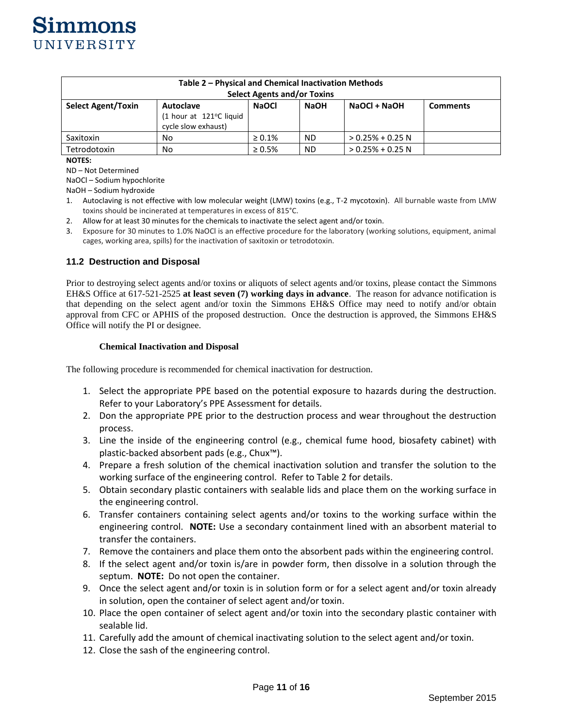

| Table 2 – Physical and Chemical Inactivation Methods |                         |              |             |                    |                 |  |  |  |
|------------------------------------------------------|-------------------------|--------------|-------------|--------------------|-----------------|--|--|--|
| <b>Select Agents and/or Toxins</b>                   |                         |              |             |                    |                 |  |  |  |
| <b>Select Agent/Toxin</b>                            | Autoclave               | <b>NaOCI</b> | <b>NaOH</b> | NaOCI + NaOH       | <b>Comments</b> |  |  |  |
|                                                      | (1 hour at 121°C liquid |              |             |                    |                 |  |  |  |
|                                                      | cycle slow exhaust)     |              |             |                    |                 |  |  |  |
| Saxitoxin                                            | No.                     | $\geq 0.1\%$ | <b>ND</b>   | $> 0.25% + 0.25$ N |                 |  |  |  |
| Tetrodotoxin                                         | No                      | $\geq 0.5\%$ | <b>ND</b>   | $> 0.25% + 0.25$ N |                 |  |  |  |

#### **NOTES:**

ND – Not Determined

NaOCl – Sodium hypochlorite

NaOH – Sodium hydroxide

- 1. Autoclaving is not effective with low molecular weight (LMW) toxins (e.g., T-2 mycotoxin). All burnable waste from LMW toxins should be incinerated at temperatures in excess of 815°C.
- 2. Allow for at least 30 minutes for the chemicals to inactivate the select agent and/or toxin.
- 3. Exposure for 30 minutes to 1.0% NaOCl is an effective procedure for the laboratory (working solutions, equipment, animal cages, working area, spills) for the inactivation of saxitoxin or tetrodotoxin.

#### **11.2 Destruction and Disposal**

Prior to destroying select agents and/or toxins or aliquots of select agents and/or toxins, please contact the Simmons EH&S Office at 617-521-2525 **at least seven (7) working days in advance**. The reason for advance notification is that depending on the select agent and/or toxin the Simmons EH&S Office may need to notify and/or obtain approval from CFC or APHIS of the proposed destruction. Once the destruction is approved, the Simmons EH&S Office will notify the PI or designee.

#### **Chemical Inactivation and Disposal**

The following procedure is recommended for chemical inactivation for destruction.

- 1. Select the appropriate PPE based on the potential exposure to hazards during the destruction. Refer to your Laboratory's PPE Assessment for details.
- 2. Don the appropriate PPE prior to the destruction process and wear throughout the destruction process.
- 3. Line the inside of the engineering control (e.g., chemical fume hood, biosafety cabinet) with plastic-backed absorbent pads (e.g., Chux™).
- 4. Prepare a fresh solution of the chemical inactivation solution and transfer the solution to the working surface of the engineering control. Refer to Table 2 for details.
- 5. Obtain secondary plastic containers with sealable lids and place them on the working surface in the engineering control.
- 6. Transfer containers containing select agents and/or toxins to the working surface within the engineering control. **NOTE:** Use a secondary containment lined with an absorbent material to transfer the containers.
- 7. Remove the containers and place them onto the absorbent pads within the engineering control.
- 8. If the select agent and/or toxin is/are in powder form, then dissolve in a solution through the septum. **NOTE:** Do not open the container.
- 9. Once the select agent and/or toxin is in solution form or for a select agent and/or toxin already in solution, open the container of select agent and/or toxin.
- 10. Place the open container of select agent and/or toxin into the secondary plastic container with sealable lid.
- 11. Carefully add the amount of chemical inactivating solution to the select agent and/or toxin.
- 12. Close the sash of the engineering control.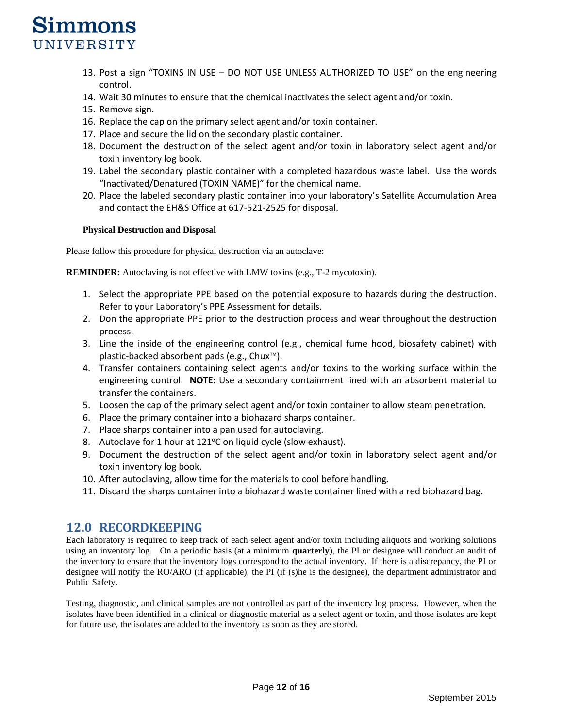- 13. Post a sign "TOXINS IN USE DO NOT USE UNLESS AUTHORIZED TO USE" on the engineering control.
- 14. Wait 30 minutes to ensure that the chemical inactivates the select agent and/or toxin.
- 15. Remove sign.
- 16. Replace the cap on the primary select agent and/or toxin container.
- 17. Place and secure the lid on the secondary plastic container.
- 18. Document the destruction of the select agent and/or toxin in laboratory select agent and/or toxin inventory log book.
- 19. Label the secondary plastic container with a completed hazardous waste label. Use the words "Inactivated/Denatured (TOXIN NAME)" for the chemical name.
- 20. Place the labeled secondary plastic container into your laboratory's Satellite Accumulation Area and contact the EH&S Office at 617-521-2525 for disposal.

#### **Physical Destruction and Disposal**

Please follow this procedure for physical destruction via an autoclave:

**REMINDER:** Autoclaving is not effective with LMW toxins (e.g., T-2 mycotoxin).

- 1. Select the appropriate PPE based on the potential exposure to hazards during the destruction. Refer to your Laboratory's PPE Assessment for details.
- 2. Don the appropriate PPE prior to the destruction process and wear throughout the destruction process.
- 3. Line the inside of the engineering control (e.g., chemical fume hood, biosafety cabinet) with plastic-backed absorbent pads (e.g., Chux™).
- 4. Transfer containers containing select agents and/or toxins to the working surface within the engineering control. **NOTE:** Use a secondary containment lined with an absorbent material to transfer the containers.
- 5. Loosen the cap of the primary select agent and/or toxin container to allow steam penetration.
- 6. Place the primary container into a biohazard sharps container.
- 7. Place sharps container into a pan used for autoclaving.
- 8. Autoclave for 1 hour at  $121^{\circ}$ C on liquid cycle (slow exhaust).
- 9. Document the destruction of the select agent and/or toxin in laboratory select agent and/or toxin inventory log book.
- 10. After autoclaving, allow time for the materials to cool before handling.
- 11. Discard the sharps container into a biohazard waste container lined with a red biohazard bag.

## **12.0 RECORDKEEPING**

Each laboratory is required to keep track of each select agent and/or toxin including aliquots and working solutions using an inventory log. On a periodic basis (at a minimum **quarterly**), the PI or designee will conduct an audit of the inventory to ensure that the inventory logs correspond to the actual inventory. If there is a discrepancy, the PI or designee will notify the RO/ARO (if applicable), the PI (if (s)he is the designee), the department administrator and Public Safety.

Testing, diagnostic, and clinical samples are not controlled as part of the inventory log process. However, when the isolates have been identified in a clinical or diagnostic material as a select agent or toxin, and those isolates are kept for future use, the isolates are added to the inventory as soon as they are stored.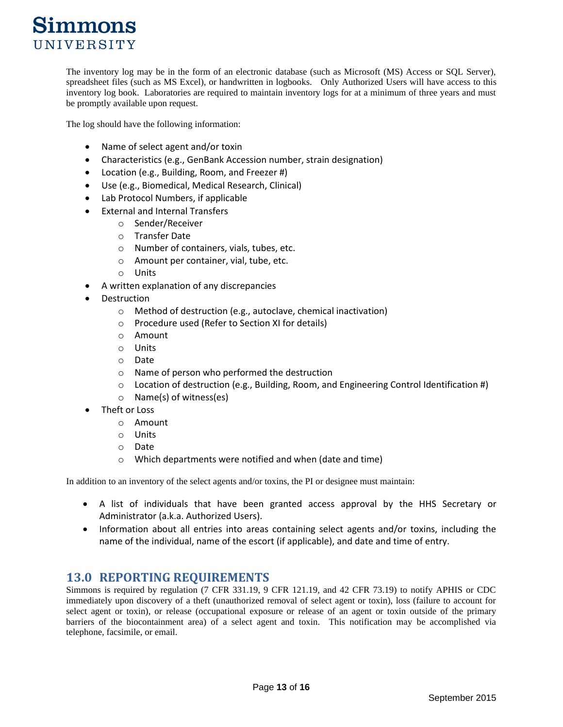The inventory log may be in the form of an electronic database (such as Microsoft (MS) Access or SQL Server), spreadsheet files (such as MS Excel), or handwritten in logbooks. Only Authorized Users will have access to this inventory log book. Laboratories are required to maintain inventory logs for at a minimum of three years and must be promptly available upon request.

The log should have the following information:

- Name of select agent and/or toxin
- Characteristics (e.g., GenBank Accession number, strain designation)
- Location (e.g., Building, Room, and Freezer #)
- Use (e.g., Biomedical, Medical Research, Clinical)
- Lab Protocol Numbers, if applicable
- External and Internal Transfers
	- o Sender/Receiver
	- o Transfer Date
	- o Number of containers, vials, tubes, etc.
	- o Amount per container, vial, tube, etc.
	- o Units
- A written explanation of any discrepancies
- **Destruction** 
	- o Method of destruction (e.g., autoclave, chemical inactivation)
	- o Procedure used (Refer to Section XI for details)
	- o Amount
	- o Units
	- o Date
	- o Name of person who performed the destruction
	- $\circ$  Location of destruction (e.g., Building, Room, and Engineering Control Identification #)
	- o Name(s) of witness(es)
- Theft or Loss
	- o Amount
	- o Units
	- o Date
	- o Which departments were notified and when (date and time)

In addition to an inventory of the select agents and/or toxins, the PI or designee must maintain:

- A list of individuals that have been granted access approval by the HHS Secretary or Administrator (a.k.a. Authorized Users).
- Information about all entries into areas containing select agents and/or toxins, including the name of the individual, name of the escort (if applicable), and date and time of entry.

## **13.0 REPORTING REQUIREMENTS**

Simmons is required by regulation (7 CFR 331.19, 9 CFR 121.19, and 42 CFR 73.19) to notify APHIS or CDC immediately upon discovery of a theft (unauthorized removal of select agent or toxin), loss (failure to account for select agent or toxin), or release (occupational exposure or release of an agent or toxin outside of the primary barriers of the biocontainment area) of a select agent and toxin. This notification may be accomplished via telephone, facsimile, or email.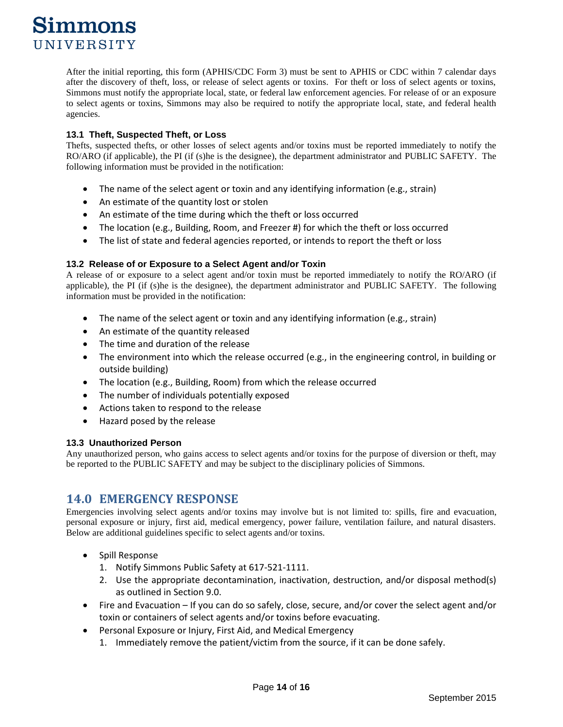After the initial reporting, this form (APHIS/CDC Form 3) must be sent to APHIS or CDC within 7 calendar days after the discovery of theft, loss, or release of select agents or toxins. For theft or loss of select agents or toxins, Simmons must notify the appropriate local, state, or federal law enforcement agencies. For release of or an exposure to select agents or toxins, Simmons may also be required to notify the appropriate local, state, and federal health agencies.

## **13.1 Theft, Suspected Theft, or Loss**

Thefts, suspected thefts, or other losses of select agents and/or toxins must be reported immediately to notify the RO/ARO (if applicable), the PI (if (s)he is the designee), the department administrator and PUBLIC SAFETY. The following information must be provided in the notification:

- The name of the select agent or toxin and any identifying information (e.g., strain)
- An estimate of the quantity lost or stolen
- An estimate of the time during which the theft or loss occurred
- The location (e.g., Building, Room, and Freezer #) for which the theft or loss occurred
- The list of state and federal agencies reported, or intends to report the theft or loss

## **13.2 Release of or Exposure to a Select Agent and/or Toxin**

A release of or exposure to a select agent and/or toxin must be reported immediately to notify the RO/ARO (if applicable), the PI (if (s)he is the designee), the department administrator and PUBLIC SAFETY. The following information must be provided in the notification:

- The name of the select agent or toxin and any identifying information (e.g., strain)
- An estimate of the quantity released
- The time and duration of the release
- The environment into which the release occurred (e.g., in the engineering control, in building or outside building)
- The location (e.g., Building, Room) from which the release occurred
- The number of individuals potentially exposed
- Actions taken to respond to the release
- Hazard posed by the release

## **13.3 Unauthorized Person**

Any unauthorized person, who gains access to select agents and/or toxins for the purpose of diversion or theft, may be reported to the PUBLIC SAFETY and may be subject to the disciplinary policies of Simmons.

## **14.0 EMERGENCY RESPONSE**

Emergencies involving select agents and/or toxins may involve but is not limited to: spills, fire and evacuation, personal exposure or injury, first aid, medical emergency, power failure, ventilation failure, and natural disasters. Below are additional guidelines specific to select agents and/or toxins.

- Spill Response
	- 1. Notify Simmons Public Safety at 617-521-1111.
	- 2. Use the appropriate decontamination, inactivation, destruction, and/or disposal method(s) as outlined in Section 9.0.
- Fire and Evacuation If you can do so safely, close, secure, and/or cover the select agent and/or toxin or containers of select agents and/or toxins before evacuating.
- Personal Exposure or Injury, First Aid, and Medical Emergency
	- 1. Immediately remove the patient/victim from the source, if it can be done safely.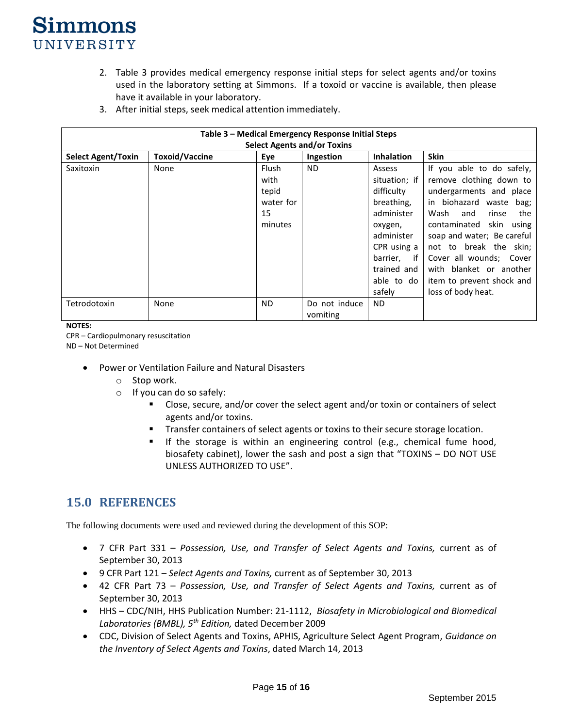- 2. Table 3 provides medical emergency response initial steps for select agents and/or toxins used in the laboratory setting at Simmons. If a toxoid or vaccine is available, then please have it available in your laboratory.
- 3. After initial steps, seek medical attention immediately.

| Table 3 - Medical Emergency Response Initial Steps<br><b>Select Agents and/or Toxins</b> |                       |                                                             |                           |                                                                                                                                                                    |                                                                                                                                                                                                                                                                                                                                                   |  |  |
|------------------------------------------------------------------------------------------|-----------------------|-------------------------------------------------------------|---------------------------|--------------------------------------------------------------------------------------------------------------------------------------------------------------------|---------------------------------------------------------------------------------------------------------------------------------------------------------------------------------------------------------------------------------------------------------------------------------------------------------------------------------------------------|--|--|
| <b>Select Agent/Toxin</b>                                                                | <b>Toxoid/Vaccine</b> | Eve                                                         | Ingestion                 | <b>Inhalation</b>                                                                                                                                                  | <b>Skin</b>                                                                                                                                                                                                                                                                                                                                       |  |  |
| Saxitoxin                                                                                | None                  | <b>Flush</b><br>with<br>tepid<br>water for<br>15<br>minutes | ND.                       | Assess<br>situation; if<br>difficulty<br>breathing,<br>administer<br>oxygen,<br>administer<br>CPR using a<br>barrier,<br>if<br>trained and<br>able to do<br>safely | If you able to do safely,<br>remove clothing down to<br>undergarments and place<br>biohazard waste<br>in<br>bag;<br>the<br>Wash<br>and<br>rinse<br>contaminated<br>skin<br>using<br>soap and water; Be careful<br>not to break the skin;<br>Cover all wounds; Cover<br>with blanket or another<br>item to prevent shock and<br>loss of body heat. |  |  |
| Tetrodotoxin                                                                             | None                  | <b>ND</b>                                                   | Do not induce<br>vomiting | <b>ND</b>                                                                                                                                                          |                                                                                                                                                                                                                                                                                                                                                   |  |  |

**NOTES:** 

CPR – Cardiopulmonary resuscitation

ND – Not Determined

- Power or Ventilation Failure and Natural Disasters
	- o Stop work.
	- o If you can do so safely:
		- Close, secure, and/or cover the select agent and/or toxin or containers of select agents and/or toxins.
		- Transfer containers of select agents or toxins to their secure storage location.
		- If the storage is within an engineering control (e.g., chemical fume hood, biosafety cabinet), lower the sash and post a sign that "TOXINS – DO NOT USE UNLESS AUTHORIZED TO USE".

## **15.0 REFERENCES**

The following documents were used and reviewed during the development of this SOP:

- 7 CFR Part 331 *Possession, Use, and Transfer of Select Agents and Toxins,* current as of September 30, 2013
- 9 CFR Part 121 *Select Agents and Toxins,* current as of September 30, 2013
- 42 CFR Part 73 *Possession, Use, and Transfer of Select Agents and Toxins,* current as of September 30, 2013
- HHS CDC/NIH, HHS Publication Number: 21-1112, *Biosafety in Microbiological and Biomedical Laboratories (BMBL), 5th Edition,* dated December 2009
- CDC, Division of Select Agents and Toxins, APHIS, Agriculture Select Agent Program, *Guidance on the Inventory of Select Agents and Toxins*, dated March 14, 2013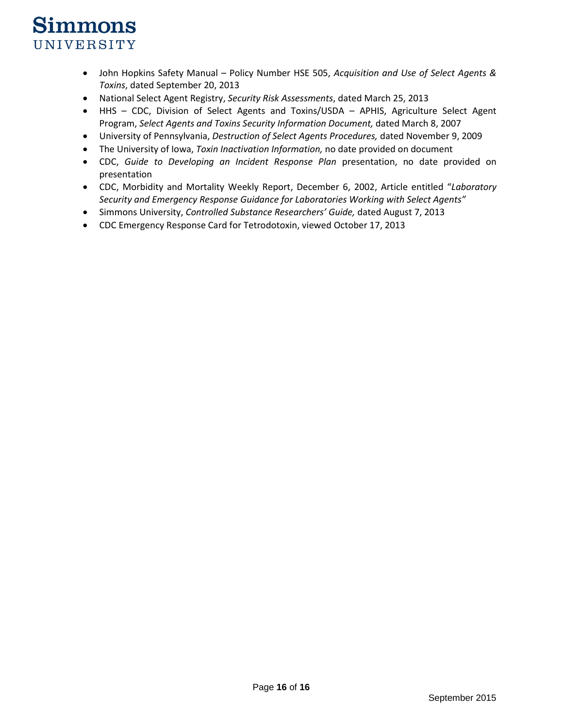- John Hopkins Safety Manual Policy Number HSE 505, *Acquisition and Use of Select Agents & Toxins*, dated September 20, 2013
- National Select Agent Registry, *Security Risk Assessments*, dated March 25, 2013
- HHS CDC, Division of Select Agents and Toxins/USDA APHIS, Agriculture Select Agent Program, *Select Agents and Toxins Security Information Document,* dated March 8, 2007
- University of Pennsylvania, *Destruction of Select Agents Procedures,* dated November 9, 2009
- The University of Iowa, *Toxin Inactivation Information,* no date provided on document
- CDC, *Guide to Developing an Incident Response Plan* presentation, no date provided on presentation
- CDC, Morbidity and Mortality Weekly Report, December 6, 2002, Article entitled "*Laboratory Security and Emergency Response Guidance for Laboratories Working with Select Agents"*
- Simmons University, *Controlled Substance Researchers' Guide,* dated August 7, 2013
- CDC Emergency Response Card for Tetrodotoxin, viewed October 17, 2013